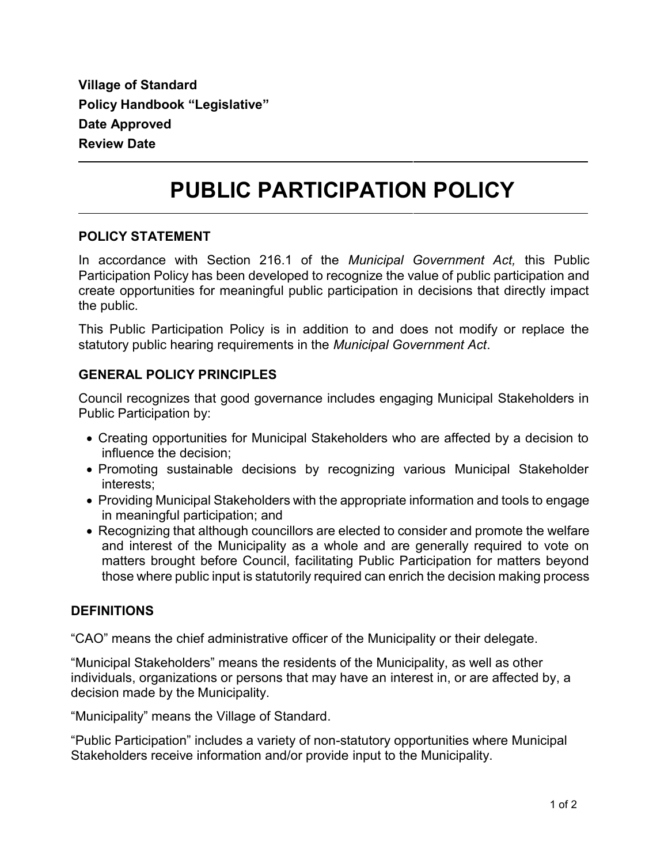**Village of Standard Policy Handbook "Legislative" Date Approved Review Date**

# **PUBLIC PARTICIPATION POLICY**

#### **POLICY STATEMENT**

In accordance with Section 216.1 of the *Municipal Government Act,* this Public Participation Policy has been developed to recognize the value of public participation and create opportunities for meaningful public participation in decisions that directly impact the public.

This Public Participation Policy is in addition to and does not modify or replace the statutory public hearing requirements in the *Municipal Government Act*.

## **GENERAL POLICY PRINCIPLES**

Council recognizes that good governance includes engaging Municipal Stakeholders in Public Participation by:

- Creating opportunities for Municipal Stakeholders who are affected by a decision to influence the decision;
- Promoting sustainable decisions by recognizing various Municipal Stakeholder interests;
- Providing Municipal Stakeholders with the appropriate information and tools to engage in meaningful participation; and
- Recognizing that although councillors are elected to consider and promote the welfare and interest of the Municipality as a whole and are generally required to vote on matters brought before Council, facilitating Public Participation for matters beyond those where public input is statutorily required can enrich the decision making process

## **DEFINITIONS**

"CAO" means the chief administrative officer of the Municipality or their delegate.

"Municipal Stakeholders" means the residents of the Municipality, as well as other individuals, organizations or persons that may have an interest in, or are affected by, a decision made by the Municipality.

"Municipality" means the Village of Standard.

"Public Participation" includes a variety of non-statutory opportunities where Municipal Stakeholders receive information and/or provide input to the Municipality.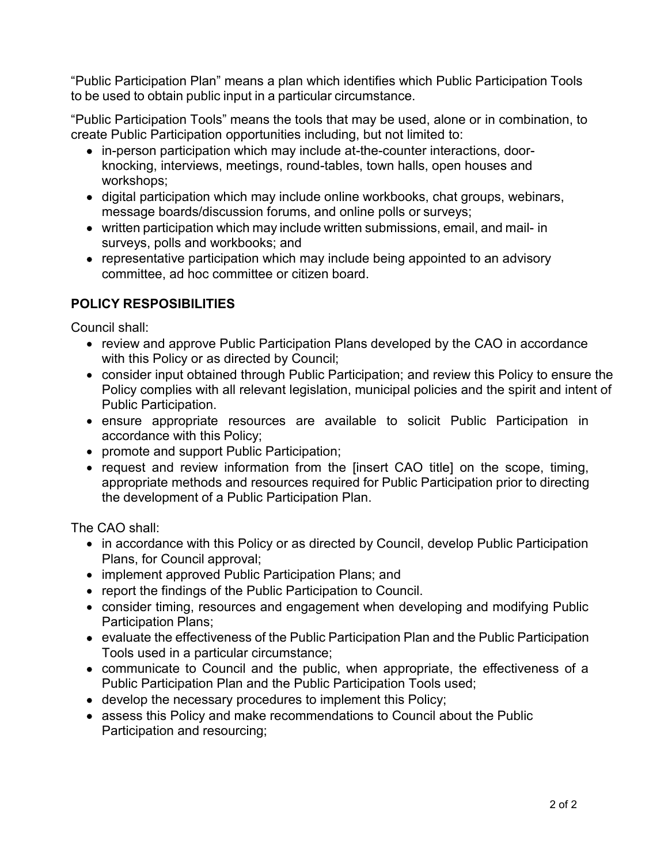"Public Participation Plan" means a plan which identifies which Public Participation Tools to be used to obtain public input in a particular circumstance.

"Public Participation Tools" means the tools that may be used, alone or in combination, to create Public Participation opportunities including, but not limited to:

- in-person participation which may include at-the-counter interactions, doorknocking, interviews, meetings, round-tables, town halls, open houses and workshops;
- digital participation which may include online workbooks, chat groups, webinars, message boards/discussion forums, and online polls or surveys;
- written participation which may include written submissions, email, and mail- in surveys, polls and workbooks; and
- representative participation which may include being appointed to an advisory committee, ad hoc committee or citizen board.

# **POLICY RESPOSIBILITIES**

Council shall:

- review and approve Public Participation Plans developed by the CAO in accordance with this Policy or as directed by Council;
- consider input obtained through Public Participation; and review this Policy to ensure the Policy complies with all relevant legislation, municipal policies and the spirit and intent of Public Participation.
- ensure appropriate resources are available to solicit Public Participation in accordance with this Policy;
- promote and support Public Participation;
- request and review information from the [insert CAO title] on the scope, timing, appropriate methods and resources required for Public Participation prior to directing the development of a Public Participation Plan.

The CAO shall:

- in accordance with this Policy or as directed by Council, develop Public Participation Plans, for Council approval;
- implement approved Public Participation Plans; and
- report the findings of the Public Participation to Council.
- consider timing, resources and engagement when developing and modifying Public Participation Plans;
- evaluate the effectiveness of the Public Participation Plan and the Public Participation Tools used in a particular circumstance;
- communicate to Council and the public, when appropriate, the effectiveness of a Public Participation Plan and the Public Participation Tools used;
- develop the necessary procedures to implement this Policy;
- assess this Policy and make recommendations to Council about the Public Participation and resourcing;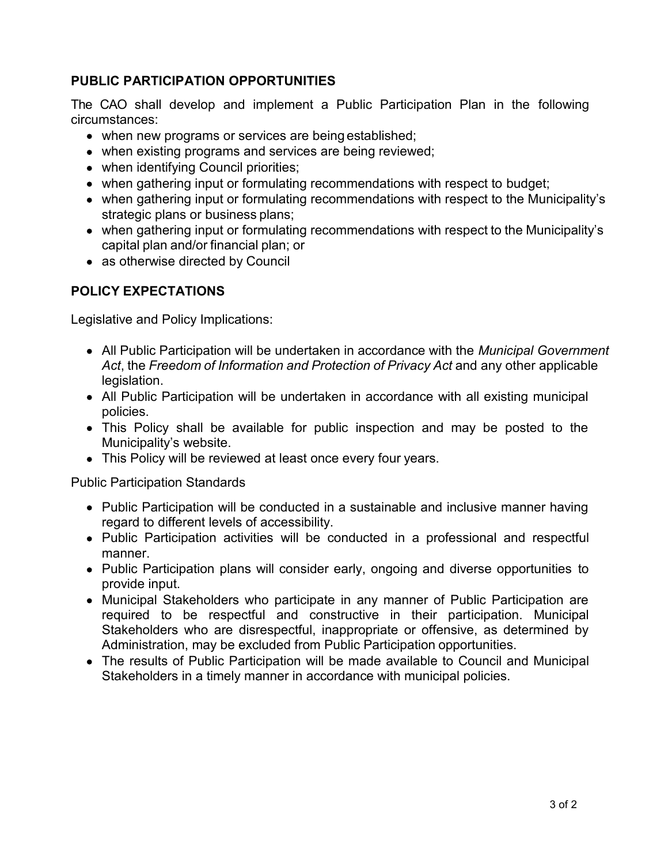# **PUBLIC PARTICIPATION OPPORTUNITIES**

The CAO shall develop and implement a Public Participation Plan in the following circumstances:

- when new programs or services are being established;
- when existing programs and services are being reviewed;
- when identifying Council priorities;
- when gathering input or formulating recommendations with respect to budget;
- when gathering input or formulating recommendations with respect to the Municipality's strategic plans or business plans;
- when gathering input or formulating recommendations with respect to the Municipality's capital plan and/or financial plan; or
- as otherwise directed by Council

## **POLICY EXPECTATIONS**

Legislative and Policy Implications:

- All Public Participation will be undertaken in accordance with the *Municipal Government Act*, the *Freedom of Information and Protection of Privacy Act* and any other applicable legislation.
- All Public Participation will be undertaken in accordance with all existing municipal policies.
- This Policy shall be available for public inspection and may be posted to the Municipality's website.
- This Policy will be reviewed at least once every four years.

Public Participation Standards

- Public Participation will be conducted in a sustainable and inclusive manner having regard to different levels of accessibility.
- Public Participation activities will be conducted in a professional and respectful manner.
- Public Participation plans will consider early, ongoing and diverse opportunities to provide input.
- Municipal Stakeholders who participate in any manner of Public Participation are required to be respectful and constructive in their participation. Municipal Stakeholders who are disrespectful, inappropriate or offensive, as determined by Administration, may be excluded from Public Participation opportunities.
- The results of Public Participation will be made available to Council and Municipal Stakeholders in a timely manner in accordance with municipal policies.